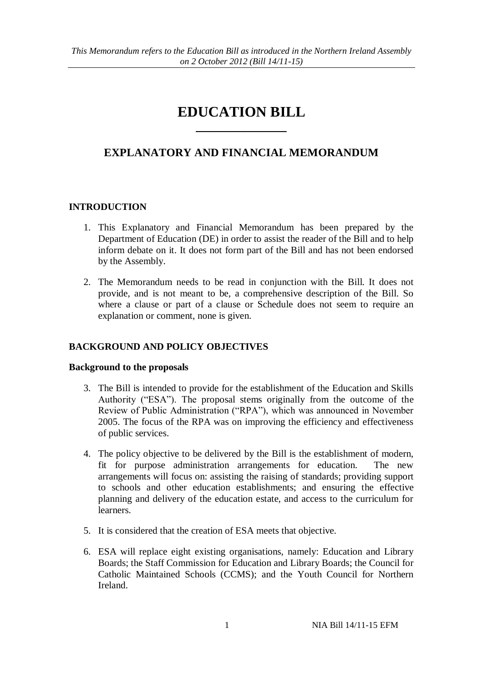# **EDUCATION BILL**  $\overline{\phantom{a}}$

# **EXPLANATORY AND FINANCIAL MEMORANDUM**

# **INTRODUCTION**

- 1. This Explanatory and Financial Memorandum has been prepared by the Department of Education (DE) in order to assist the reader of the Bill and to help inform debate on it. It does not form part of the Bill and has not been endorsed by the Assembly.
- 2. The Memorandum needs to be read in conjunction with the Bill. It does not provide, and is not meant to be, a comprehensive description of the Bill. So where a clause or part of a clause or Schedule does not seem to require an explanation or comment, none is given.

## **BACKGROUND AND POLICY OBJECTIVES**

#### **Background to the proposals**

- 3. The Bill is intended to provide for the establishment of the Education and Skills Authority ("ESA"). The proposal stems originally from the outcome of the Review of Public Administration ("RPA"), which was announced in November 2005. The focus of the RPA was on improving the efficiency and effectiveness of public services.
- 4. The policy objective to be delivered by the Bill is the establishment of modern, fit for purpose administration arrangements for education. The new arrangements will focus on: assisting the raising of standards; providing support to schools and other education establishments; and ensuring the effective planning and delivery of the education estate, and access to the curriculum for learners.
- 5. It is considered that the creation of ESA meets that objective.
- <span id="page-0-0"></span>6. ESA will replace eight existing organisations, namely: Education and Library Boards; the Staff Commission for Education and Library Boards; the Council for Catholic Maintained Schools (CCMS); and the Youth Council for Northern Ireland.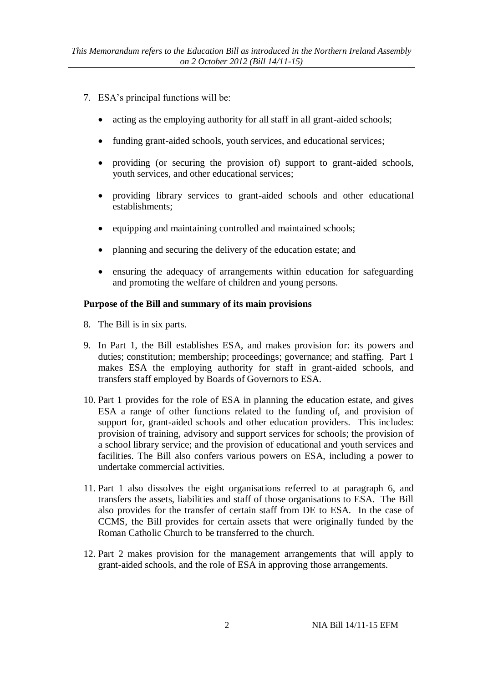- 7. ESA's principal functions will be:
	- acting as the employing authority for all staff in all grant-aided schools;
	- funding grant-aided schools, youth services, and educational services;
	- providing (or securing the provision of) support to grant-aided schools, youth services, and other educational services;
	- providing library services to grant-aided schools and other educational establishments;
	- $\bullet$  equipping and maintaining controlled and maintained schools;
	- planning and securing the delivery of the education estate; and
	- ensuring the adequacy of arrangements within education for safeguarding and promoting the welfare of children and young persons.

## **Purpose of the Bill and summary of its main provisions**

- 8. The Bill is in six parts.
- 9. In Part 1, the Bill establishes ESA, and makes provision for: its powers and duties; constitution; membership; proceedings; governance; and staffing. Part 1 makes ESA the employing authority for staff in grant-aided schools, and transfers staff employed by Boards of Governors to ESA.
- 10. Part 1 provides for the role of ESA in planning the education estate, and gives ESA a range of other functions related to the funding of, and provision of support for, grant-aided schools and other education providers. This includes: provision of training, advisory and support services for schools; the provision of a school library service; and the provision of educational and youth services and facilities. The Bill also confers various powers on ESA, including a power to undertake commercial activities.
- 11. Part 1 also dissolves the eight organisations referred to at paragraph [6,](#page-0-0) and transfers the assets, liabilities and staff of those organisations to ESA. The Bill also provides for the transfer of certain staff from DE to ESA. In the case of CCMS, the Bill provides for certain assets that were originally funded by the Roman Catholic Church to be transferred to the church.
- 12. Part 2 makes provision for the management arrangements that will apply to grant-aided schools, and the role of ESA in approving those arrangements.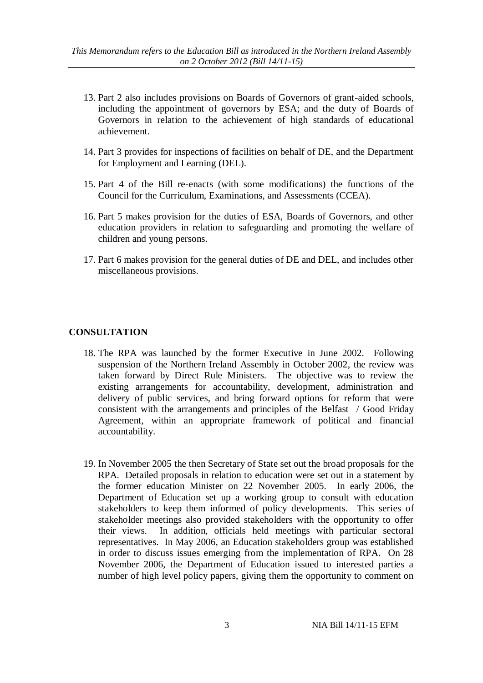- 13. Part 2 also includes provisions on Boards of Governors of grant-aided schools, including the appointment of governors by ESA; and the duty of Boards of Governors in relation to the achievement of high standards of educational achievement.
- 14. Part 3 provides for inspections of facilities on behalf of DE, and the Department for Employment and Learning (DEL).
- 15. Part 4 of the Bill re-enacts (with some modifications) the functions of the Council for the Curriculum, Examinations, and Assessments (CCEA).
- 16. Part 5 makes provision for the duties of ESA, Boards of Governors, and other education providers in relation to safeguarding and promoting the welfare of children and young persons.
- 17. Part 6 makes provision for the general duties of DE and DEL, and includes other miscellaneous provisions.

## **CONSULTATION**

- 18. The RPA was launched by the former Executive in June 2002. Following suspension of the Northern Ireland Assembly in October 2002, the review was taken forward by Direct Rule Ministers. The objective was to review the existing arrangements for accountability, development, administration and delivery of public services, and bring forward options for reform that were consistent with the arrangements and principles of the Belfast / Good Friday Agreement, within an appropriate framework of political and financial accountability.
- 19. In November 2005 the then Secretary of State set out the broad proposals for the RPA. Detailed proposals in relation to education were set out in a statement by the former education Minister on 22 November 2005. In early 2006, the Department of Education set up a working group to consult with education stakeholders to keep them informed of policy developments. This series of stakeholder meetings also provided stakeholders with the opportunity to offer their views. In addition, officials held meetings with particular sectoral representatives. In May 2006, an Education stakeholders group was established in order to discuss issues emerging from the implementation of RPA. On 28 November 2006, the Department of Education issued to interested parties a number of high level policy papers, giving them the opportunity to comment on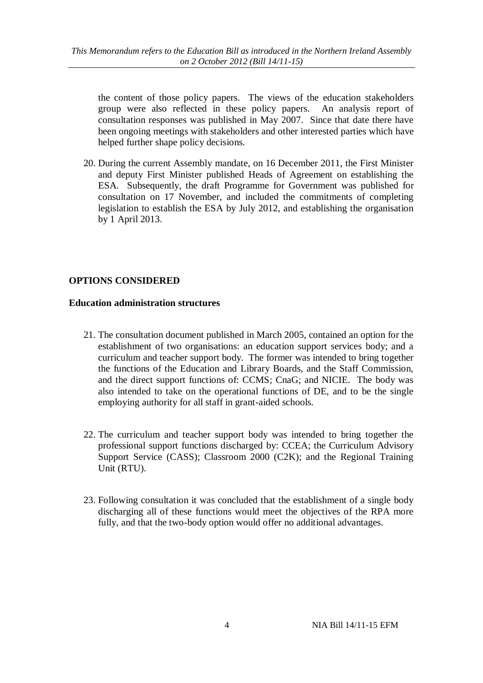the content of those policy papers. The views of the education stakeholders group were also reflected in these policy papers. An analysis report of consultation responses was published in May 2007. Since that date there have been ongoing meetings with stakeholders and other interested parties which have helped further shape policy decisions.

20. During the current Assembly mandate, on 16 December 2011, the First Minister and deputy First Minister published Heads of Agreement on establishing the ESA. Subsequently, the draft Programme for Government was published for consultation on 17 November, and included the commitments of completing legislation to establish the ESA by July 2012, and establishing the organisation by 1 April 2013.

# **OPTIONS CONSIDERED**

## **Education administration structures**

- 21. The consultation document published in March 2005, contained an option for the establishment of two organisations: an education support services body; and a curriculum and teacher support body. The former was intended to bring together the functions of the Education and Library Boards, and the Staff Commission, and the direct support functions of: CCMS; CnaG; and NICIE. The body was also intended to take on the operational functions of DE, and to be the single employing authority for all staff in grant-aided schools.
- 22. The curriculum and teacher support body was intended to bring together the professional support functions discharged by: CCEA; the Curriculum Advisory Support Service (CASS); Classroom 2000 (C2K); and the Regional Training Unit (RTU).
- 23. Following consultation it was concluded that the establishment of a single body discharging all of these functions would meet the objectives of the RPA more fully, and that the two-body option would offer no additional advantages.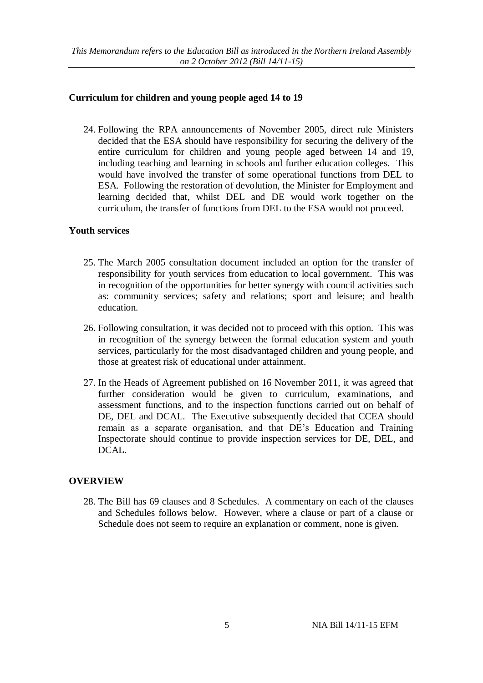## **Curriculum for children and young people aged 14 to 19**

24. Following the RPA announcements of November 2005, direct rule Ministers decided that the ESA should have responsibility for securing the delivery of the entire curriculum for children and young people aged between 14 and 19, including teaching and learning in schools and further education colleges. This would have involved the transfer of some operational functions from DEL to ESA. Following the restoration of devolution, the Minister for Employment and learning decided that, whilst DEL and DE would work together on the curriculum, the transfer of functions from DEL to the ESA would not proceed.

#### **Youth services**

- 25. The March 2005 consultation document included an option for the transfer of responsibility for youth services from education to local government. This was in recognition of the opportunities for better synergy with council activities such as: community services; safety and relations; sport and leisure; and health education.
- 26. Following consultation, it was decided not to proceed with this option. This was in recognition of the synergy between the formal education system and youth services, particularly for the most disadvantaged children and young people, and those at greatest risk of educational under attainment.
- 27. In the Heads of Agreement published on 16 November 2011, it was agreed that further consideration would be given to curriculum, examinations, and assessment functions, and to the inspection functions carried out on behalf of DE, DEL and DCAL. The Executive subsequently decided that CCEA should remain as a separate organisation, and that DE's Education and Training Inspectorate should continue to provide inspection services for DE, DEL, and DCAL.

#### **OVERVIEW**

28. The Bill has 69 clauses and 8 Schedules. A commentary on each of the clauses and Schedules follows below. However, where a clause or part of a clause or Schedule does not seem to require an explanation or comment, none is given.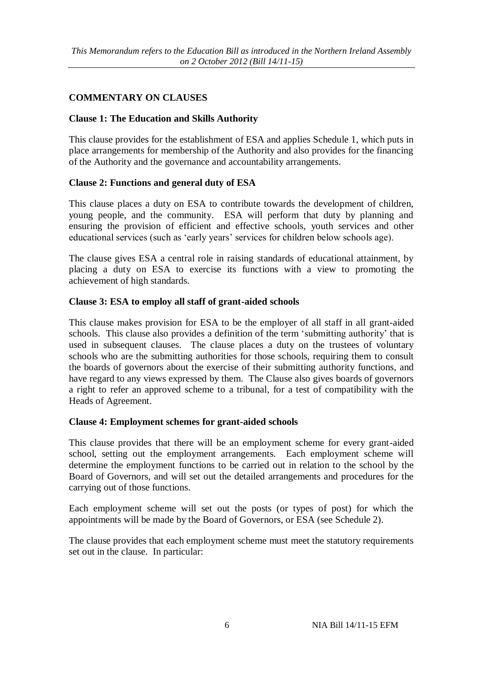# **COMMENTARY ON CLAUSES**

# **Clause 1: The Education and Skills Authority**

This clause provides for the establishment of ESA and applies Schedule 1, which puts in place arrangements for membership of the Authority and also provides for the financing of the Authority and the governance and accountability arrangements.

# **Clause 2: Functions and general duty of ESA**

This clause places a duty on ESA to contribute towards the development of children, young people, and the community. ESA will perform that duty by planning and ensuring the provision of efficient and effective schools, youth services and other educational services (such as 'early years' services for children below schools age).

The clause gives ESA a central role in raising standards of educational attainment, by placing a duty on ESA to exercise its functions with a view to promoting the achievement of high standards.

## **Clause 3: ESA to employ all staff of grant-aided schools**

This clause makes provision for ESA to be the employer of all staff in all grant-aided schools. This clause also provides a definition of the term 'submitting authority' that is used in subsequent clauses. The clause places a duty on the trustees of voluntary schools who are the submitting authorities for those schools, requiring them to consult the boards of governors about the exercise of their submitting authority functions, and have regard to any views expressed by them. The Clause also gives boards of governors a right to refer an approved scheme to a tribunal, for a test of compatibility with the Heads of Agreement.

#### **Clause 4: Employment schemes for grant-aided schools**

This clause provides that there will be an employment scheme for every grant-aided school, setting out the employment arrangements. Each employment scheme will determine the employment functions to be carried out in relation to the school by the Board of Governors, and will set out the detailed arrangements and procedures for the carrying out of those functions.

Each employment scheme will set out the posts (or types of post) for which the appointments will be made by the Board of Governors, or ESA (see Schedule 2).

The clause provides that each employment scheme must meet the statutory requirements set out in the clause. In particular: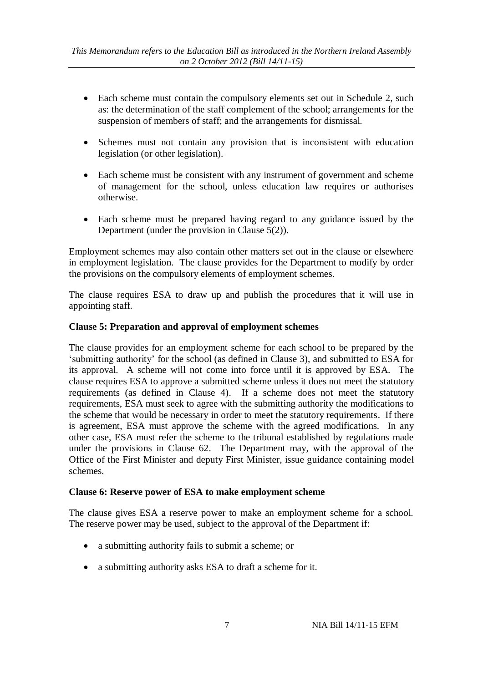- Each scheme must contain the compulsory elements set out in Schedule 2, such as: the determination of the staff complement of the school; arrangements for the suspension of members of staff; and the arrangements for dismissal.
- Schemes must not contain any provision that is inconsistent with education legislation (or other legislation).
- Each scheme must be consistent with any instrument of government and scheme of management for the school, unless education law requires or authorises otherwise.
- Each scheme must be prepared having regard to any guidance issued by the Department (under the provision in Clause 5(2)).

Employment schemes may also contain other matters set out in the clause or elsewhere in employment legislation. The clause provides for the Department to modify by order the provisions on the compulsory elements of employment schemes.

The clause requires ESA to draw up and publish the procedures that it will use in appointing staff.

# **Clause 5: Preparation and approval of employment schemes**

The clause provides for an employment scheme for each school to be prepared by the 'submitting authority' for the school (as defined in Clause 3), and submitted to ESA for its approval. A scheme will not come into force until it is approved by ESA. The clause requires ESA to approve a submitted scheme unless it does not meet the statutory requirements (as defined in Clause 4). If a scheme does not meet the statutory requirements, ESA must seek to agree with the submitting authority the modifications to the scheme that would be necessary in order to meet the statutory requirements. If there is agreement, ESA must approve the scheme with the agreed modifications. In any other case, ESA must refer the scheme to the tribunal established by regulations made under the provisions in Clause 62. The Department may, with the approval of the Office of the First Minister and deputy First Minister, issue guidance containing model schemes.

#### **Clause 6: Reserve power of ESA to make employment scheme**

The clause gives ESA a reserve power to make an employment scheme for a school. The reserve power may be used, subject to the approval of the Department if:

- a submitting authority fails to submit a scheme; or
- a submitting authority asks ESA to draft a scheme for it.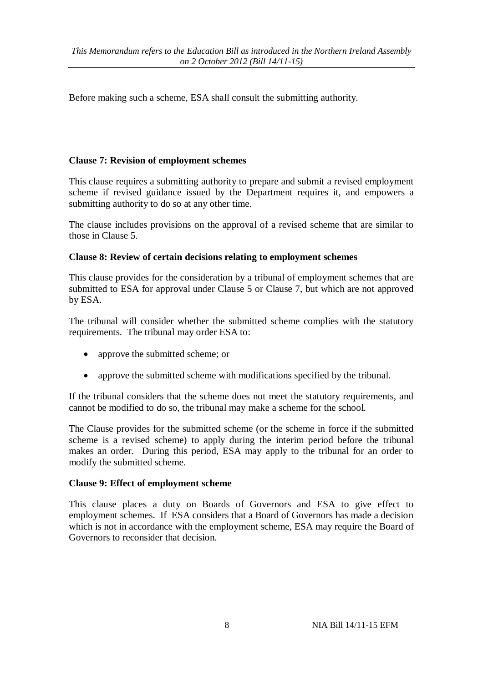Before making such a scheme, ESA shall consult the submitting authority.

## **Clause 7: Revision of employment schemes**

This clause requires a submitting authority to prepare and submit a revised employment scheme if revised guidance issued by the Department requires it, and empowers a submitting authority to do so at any other time.

The clause includes provisions on the approval of a revised scheme that are similar to those in Clause 5.

## **Clause 8: Review of certain decisions relating to employment schemes**

This clause provides for the consideration by a tribunal of employment schemes that are submitted to ESA for approval under Clause 5 or Clause 7, but which are not approved by ESA.

The tribunal will consider whether the submitted scheme complies with the statutory requirements. The tribunal may order ESA to:

- approve the submitted scheme; or
- approve the submitted scheme with modifications specified by the tribunal.

If the tribunal considers that the scheme does not meet the statutory requirements, and cannot be modified to do so, the tribunal may make a scheme for the school.

The Clause provides for the submitted scheme (or the scheme in force if the submitted scheme is a revised scheme) to apply during the interim period before the tribunal makes an order. During this period, ESA may apply to the tribunal for an order to modify the submitted scheme.

#### **Clause 9: Effect of employment scheme**

This clause places a duty on Boards of Governors and ESA to give effect to employment schemes. If ESA considers that a Board of Governors has made a decision which is not in accordance with the employment scheme, ESA may require the Board of Governors to reconsider that decision.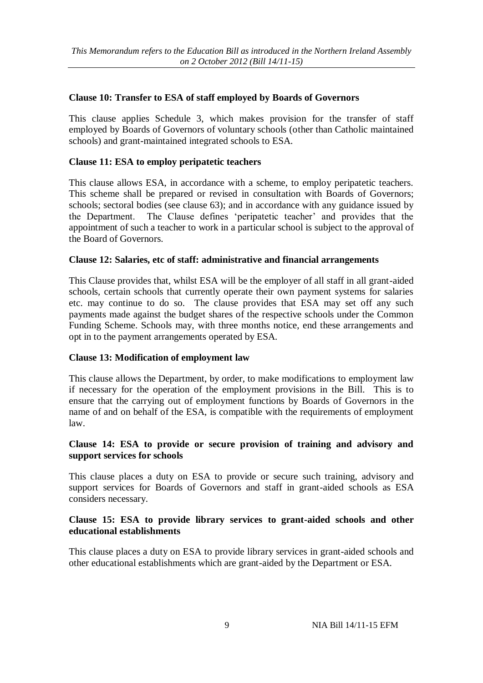## **Clause 10: Transfer to ESA of staff employed by Boards of Governors**

This clause applies Schedule 3, which makes provision for the transfer of staff employed by Boards of Governors of voluntary schools (other than Catholic maintained schools) and grant-maintained integrated schools to ESA.

## **Clause 11: ESA to employ peripatetic teachers**

This clause allows ESA, in accordance with a scheme, to employ peripatetic teachers. This scheme shall be prepared or revised in consultation with Boards of Governors; schools; sectoral bodies (see clause 63); and in accordance with any guidance issued by the Department. The Clause defines 'peripatetic teacher' and provides that the appointment of such a teacher to work in a particular school is subject to the approval of the Board of Governors.

#### **Clause 12: Salaries, etc of staff: administrative and financial arrangements**

This Clause provides that, whilst ESA will be the employer of all staff in all grant-aided schools, certain schools that currently operate their own payment systems for salaries etc. may continue to do so. The clause provides that ESA may set off any such payments made against the budget shares of the respective schools under the Common Funding Scheme. Schools may, with three months notice, end these arrangements and opt in to the payment arrangements operated by ESA.

#### **Clause 13: Modification of employment law**

This clause allows the Department, by order, to make modifications to employment law if necessary for the operation of the employment provisions in the Bill. This is to ensure that the carrying out of employment functions by Boards of Governors in the name of and on behalf of the ESA, is compatible with the requirements of employment law.

## **Clause 14: ESA to provide or secure provision of training and advisory and support services for schools**

This clause places a duty on ESA to provide or secure such training, advisory and support services for Boards of Governors and staff in grant-aided schools as ESA considers necessary.

## **Clause 15: ESA to provide library services to grant-aided schools and other educational establishments**

This clause places a duty on ESA to provide library services in grant-aided schools and other educational establishments which are grant-aided by the Department or ESA.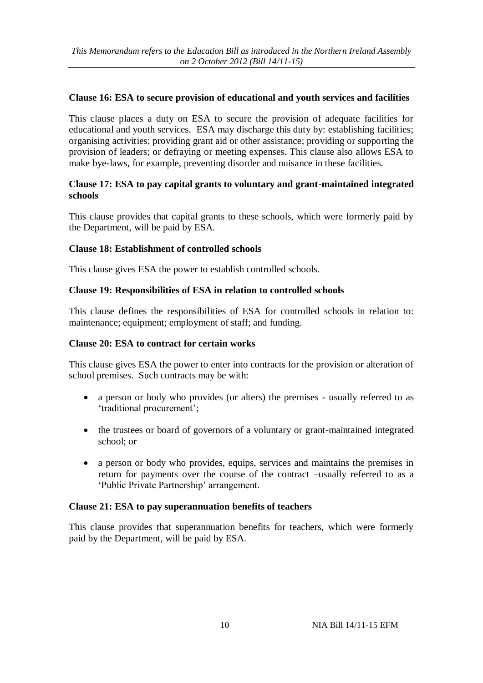## **Clause 16: ESA to secure provision of educational and youth services and facilities**

This clause places a duty on ESA to secure the provision of adequate facilities for educational and youth services. ESA may discharge this duty by: establishing facilities; organising activities; providing grant aid or other assistance; providing or supporting the provision of leaders; or defraying or meeting expenses. This clause also allows ESA to make bye-laws, for example, preventing disorder and nuisance in these facilities.

## **Clause 17: ESA to pay capital grants to voluntary and grant-maintained integrated schools**

This clause provides that capital grants to these schools, which were formerly paid by the Department, will be paid by ESA.

## **Clause 18: Establishment of controlled schools**

This clause gives ESA the power to establish controlled schools.

## **Clause 19: Responsibilities of ESA in relation to controlled schools**

This clause defines the responsibilities of ESA for controlled schools in relation to: maintenance; equipment; employment of staff; and funding.

#### **Clause 20: ESA to contract for certain works**

This clause gives ESA the power to enter into contracts for the provision or alteration of school premises. Such contracts may be with:

- a person or body who provides (or alters) the premises usually referred to as 'traditional procurement';
- the trustees or board of governors of a voluntary or grant-maintained integrated school; or
- a person or body who provides, equips, services and maintains the premises in return for payments over the course of the contract –usually referred to as a 'Public Private Partnership' arrangement.

#### **Clause 21: ESA to pay superannuation benefits of teachers**

This clause provides that superannuation benefits for teachers, which were formerly paid by the Department, will be paid by ESA.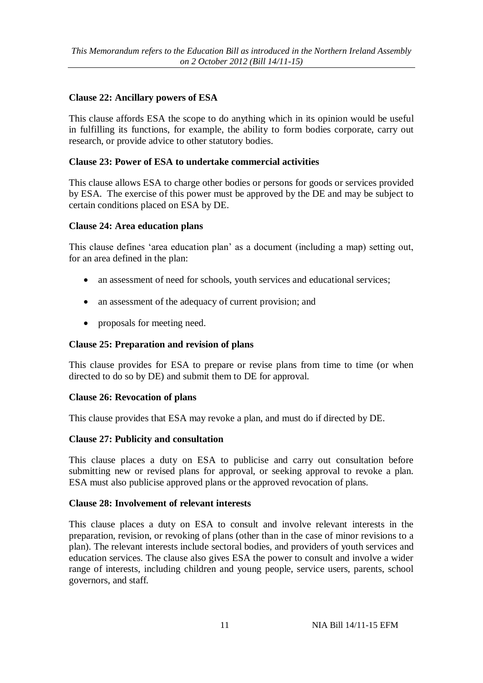# **Clause 22: Ancillary powers of ESA**

This clause affords ESA the scope to do anything which in its opinion would be useful in fulfilling its functions, for example, the ability to form bodies corporate, carry out research, or provide advice to other statutory bodies.

# **Clause 23: Power of ESA to undertake commercial activities**

This clause allows ESA to charge other bodies or persons for goods or services provided by ESA. The exercise of this power must be approved by the DE and may be subject to certain conditions placed on ESA by DE.

## **Clause 24: Area education plans**

This clause defines 'area education plan' as a document (including a map) setting out, for an area defined in the plan:

- an assessment of need for schools, youth services and educational services;
- an assessment of the adequacy of current provision; and
- proposals for meeting need.

# **Clause 25: Preparation and revision of plans**

This clause provides for ESA to prepare or revise plans from time to time (or when directed to do so by DE) and submit them to DE for approval.

# **Clause 26: Revocation of plans**

This clause provides that ESA may revoke a plan, and must do if directed by DE.

# **Clause 27: Publicity and consultation**

This clause places a duty on ESA to publicise and carry out consultation before submitting new or revised plans for approval, or seeking approval to revoke a plan. ESA must also publicise approved plans or the approved revocation of plans.

# **Clause 28: Involvement of relevant interests**

This clause places a duty on ESA to consult and involve relevant interests in the preparation, revision, or revoking of plans (other than in the case of minor revisions to a plan). The relevant interests include sectoral bodies, and providers of youth services and education services. The clause also gives ESA the power to consult and involve a wider range of interests, including children and young people, service users, parents, school governors, and staff.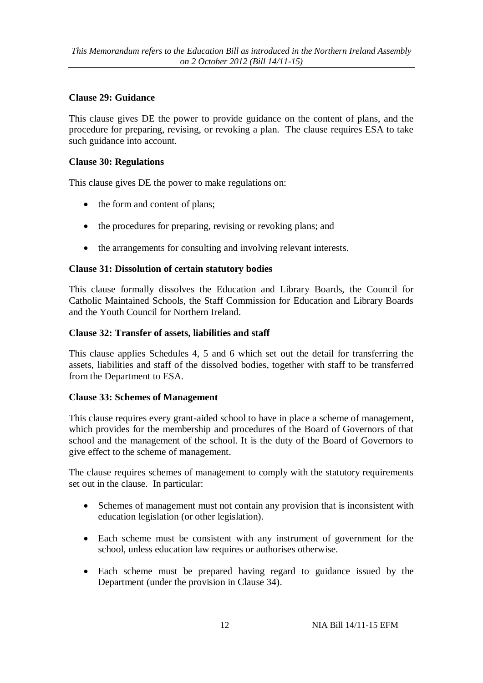# **Clause 29: Guidance**

This clause gives DE the power to provide guidance on the content of plans, and the procedure for preparing, revising, or revoking a plan. The clause requires ESA to take such guidance into account.

## **Clause 30: Regulations**

This clause gives DE the power to make regulations on:

- the form and content of plans;
- the procedures for preparing, revising or revoking plans; and
- the arrangements for consulting and involving relevant interests.

# **Clause 31: Dissolution of certain statutory bodies**

This clause formally dissolves the Education and Library Boards, the Council for Catholic Maintained Schools, the Staff Commission for Education and Library Boards and the Youth Council for Northern Ireland.

## **Clause 32: Transfer of assets, liabilities and staff**

This clause applies Schedules 4, 5 and 6 which set out the detail for transferring the assets, liabilities and staff of the dissolved bodies, together with staff to be transferred from the Department to ESA.

# **Clause 33: Schemes of Management**

This clause requires every grant-aided school to have in place a scheme of management, which provides for the membership and procedures of the Board of Governors of that school and the management of the school. It is the duty of the Board of Governors to give effect to the scheme of management.

The clause requires schemes of management to comply with the statutory requirements set out in the clause. In particular:

- Schemes of management must not contain any provision that is inconsistent with education legislation (or other legislation).
- Each scheme must be consistent with any instrument of government for the school, unless education law requires or authorises otherwise.
- Each scheme must be prepared having regard to guidance issued by the Department (under the provision in Clause 34).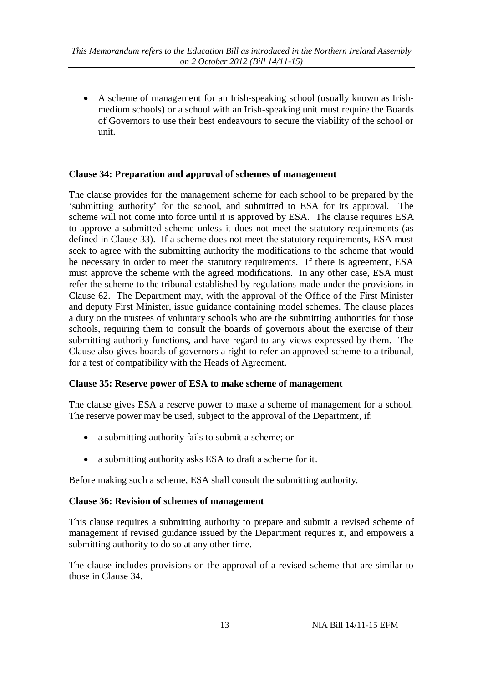A scheme of management for an Irish-speaking school (usually known as Irishmedium schools) or a school with an Irish-speaking unit must require the Boards of Governors to use their best endeavours to secure the viability of the school or unit.

# **Clause 34: Preparation and approval of schemes of management**

The clause provides for the management scheme for each school to be prepared by the 'submitting authority' for the school, and submitted to ESA for its approval. The scheme will not come into force until it is approved by ESA. The clause requires ESA to approve a submitted scheme unless it does not meet the statutory requirements (as defined in Clause 33). If a scheme does not meet the statutory requirements, ESA must seek to agree with the submitting authority the modifications to the scheme that would be necessary in order to meet the statutory requirements. If there is agreement, ESA must approve the scheme with the agreed modifications. In any other case, ESA must refer the scheme to the tribunal established by regulations made under the provisions in Clause 62. The Department may, with the approval of the Office of the First Minister and deputy First Minister, issue guidance containing model schemes. The clause places a duty on the trustees of voluntary schools who are the submitting authorities for those schools, requiring them to consult the boards of governors about the exercise of their submitting authority functions, and have regard to any views expressed by them. The Clause also gives boards of governors a right to refer an approved scheme to a tribunal, for a test of compatibility with the Heads of Agreement.

# **Clause 35: Reserve power of ESA to make scheme of management**

The clause gives ESA a reserve power to make a scheme of management for a school. The reserve power may be used, subject to the approval of the Department, if:

- a submitting authority fails to submit a scheme; or
- a submitting authority asks ESA to draft a scheme for it.

Before making such a scheme, ESA shall consult the submitting authority.

# **Clause 36: Revision of schemes of management**

This clause requires a submitting authority to prepare and submit a revised scheme of management if revised guidance issued by the Department requires it, and empowers a submitting authority to do so at any other time.

The clause includes provisions on the approval of a revised scheme that are similar to those in Clause 34.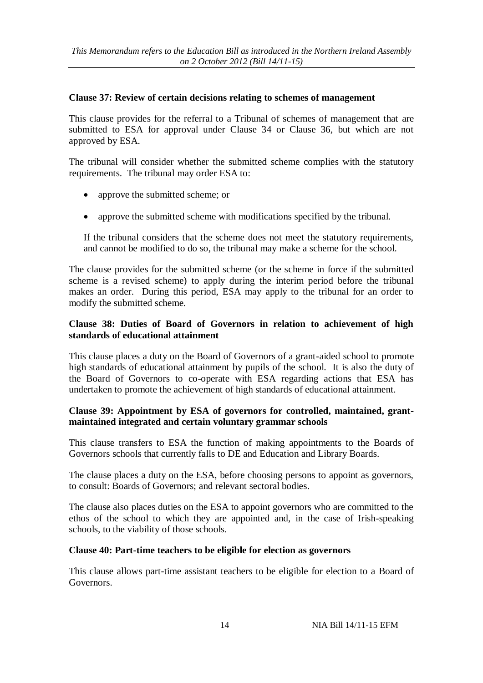## **Clause 37: Review of certain decisions relating to schemes of management**

This clause provides for the referral to a Tribunal of schemes of management that are submitted to ESA for approval under Clause 34 or Clause 36, but which are not approved by ESA.

The tribunal will consider whether the submitted scheme complies with the statutory requirements. The tribunal may order ESA to:

- approve the submitted scheme; or
- approve the submitted scheme with modifications specified by the tribunal.

If the tribunal considers that the scheme does not meet the statutory requirements, and cannot be modified to do so, the tribunal may make a scheme for the school.

The clause provides for the submitted scheme (or the scheme in force if the submitted scheme is a revised scheme) to apply during the interim period before the tribunal makes an order. During this period, ESA may apply to the tribunal for an order to modify the submitted scheme.

# **Clause 38: Duties of Board of Governors in relation to achievement of high standards of educational attainment**

This clause places a duty on the Board of Governors of a grant-aided school to promote high standards of educational attainment by pupils of the school. It is also the duty of the Board of Governors to co-operate with ESA regarding actions that ESA has undertaken to promote the achievement of high standards of educational attainment.

# **Clause 39: Appointment by ESA of governors for controlled, maintained, grantmaintained integrated and certain voluntary grammar schools**

This clause transfers to ESA the function of making appointments to the Boards of Governors schools that currently falls to DE and Education and Library Boards.

The clause places a duty on the ESA, before choosing persons to appoint as governors, to consult: Boards of Governors; and relevant sectoral bodies.

The clause also places duties on the ESA to appoint governors who are committed to the ethos of the school to which they are appointed and, in the case of Irish-speaking schools, to the viability of those schools.

#### **Clause 40: Part-time teachers to be eligible for election as governors**

This clause allows part-time assistant teachers to be eligible for election to a Board of Governors.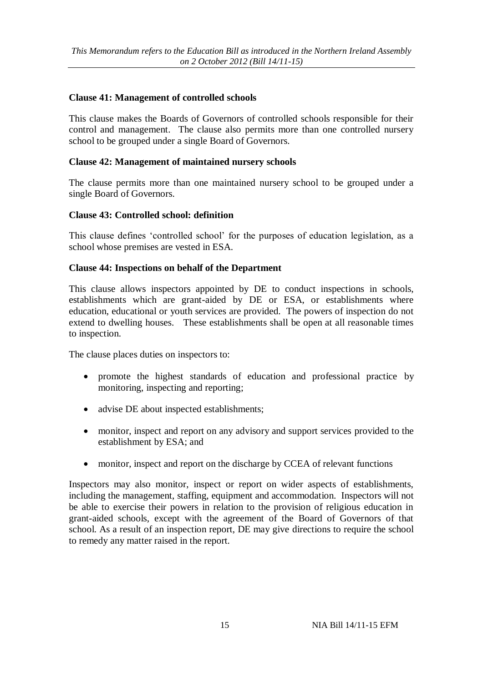## **Clause 41: Management of controlled schools**

This clause makes the Boards of Governors of controlled schools responsible for their control and management. The clause also permits more than one controlled nursery school to be grouped under a single Board of Governors.

#### **Clause 42: Management of maintained nursery schools**

The clause permits more than one maintained nursery school to be grouped under a single Board of Governors.

## **Clause 43: Controlled school: definition**

This clause defines 'controlled school' for the purposes of education legislation, as a school whose premises are vested in ESA.

## **Clause 44: Inspections on behalf of the Department**

This clause allows inspectors appointed by DE to conduct inspections in schools, establishments which are grant-aided by DE or ESA, or establishments where education, educational or youth services are provided. The powers of inspection do not extend to dwelling houses. These establishments shall be open at all reasonable times to inspection.

The clause places duties on inspectors to:

- promote the highest standards of education and professional practice by monitoring, inspecting and reporting;
- advise DE about inspected establishments;
- monitor, inspect and report on any advisory and support services provided to the establishment by ESA; and
- monitor, inspect and report on the discharge by CCEA of relevant functions

Inspectors may also monitor, inspect or report on wider aspects of establishments, including the management, staffing, equipment and accommodation. Inspectors will not be able to exercise their powers in relation to the provision of religious education in grant-aided schools, except with the agreement of the Board of Governors of that school. As a result of an inspection report, DE may give directions to require the school to remedy any matter raised in the report.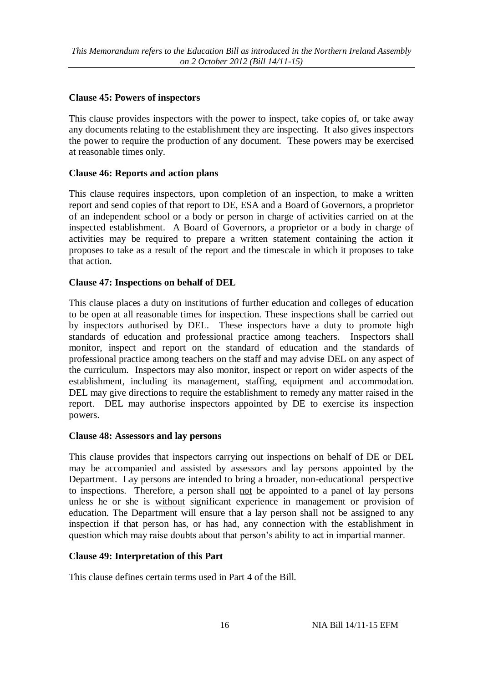# **Clause 45: Powers of inspectors**

This clause provides inspectors with the power to inspect, take copies of, or take away any documents relating to the establishment they are inspecting. It also gives inspectors the power to require the production of any document. These powers may be exercised at reasonable times only.

# **Clause 46: Reports and action plans**

This clause requires inspectors, upon completion of an inspection, to make a written report and send copies of that report to DE, ESA and a Board of Governors, a proprietor of an independent school or a body or person in charge of activities carried on at the inspected establishment. A Board of Governors, a proprietor or a body in charge of activities may be required to prepare a written statement containing the action it proposes to take as a result of the report and the timescale in which it proposes to take that action.

# **Clause 47: Inspections on behalf of DEL**

This clause places a duty on institutions of further education and colleges of education to be open at all reasonable times for inspection. These inspections shall be carried out by inspectors authorised by DEL. These inspectors have a duty to promote high standards of education and professional practice among teachers. Inspectors shall monitor, inspect and report on the standard of education and the standards of professional practice among teachers on the staff and may advise DEL on any aspect of the curriculum. Inspectors may also monitor, inspect or report on wider aspects of the establishment, including its management, staffing, equipment and accommodation. DEL may give directions to require the establishment to remedy any matter raised in the report. DEL may authorise inspectors appointed by DE to exercise its inspection powers.

# **Clause 48: Assessors and lay persons**

This clause provides that inspectors carrying out inspections on behalf of DE or DEL may be accompanied and assisted by assessors and lay persons appointed by the Department. Lay persons are intended to bring a broader, non-educational perspective to inspections. Therefore, a person shall not be appointed to a panel of lay persons unless he or she is without significant experience in management or provision of education. The Department will ensure that a lay person shall not be assigned to any inspection if that person has, or has had, any connection with the establishment in question which may raise doubts about that person's ability to act in impartial manner.

# **Clause 49: Interpretation of this Part**

This clause defines certain terms used in Part 4 of the Bill.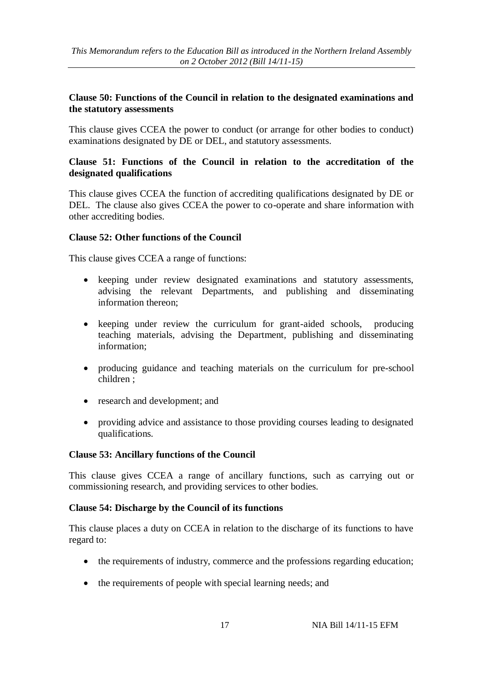## **Clause 50: Functions of the Council in relation to the designated examinations and the statutory assessments**

This clause gives CCEA the power to conduct (or arrange for other bodies to conduct) examinations designated by DE or DEL, and statutory assessments.

## **Clause 51: Functions of the Council in relation to the accreditation of the designated qualifications**

This clause gives CCEA the function of accrediting qualifications designated by DE or DEL. The clause also gives CCEA the power to co-operate and share information with other accrediting bodies.

## **Clause 52: Other functions of the Council**

This clause gives CCEA a range of functions:

- keeping under review designated examinations and statutory assessments, advising the relevant Departments, and publishing and disseminating information thereon;
- keeping under review the curriculum for grant-aided schools, producing teaching materials, advising the Department, publishing and disseminating information;
- producing guidance and teaching materials on the curriculum for pre-school children ;
- research and development; and
- providing advice and assistance to those providing courses leading to designated qualifications.

#### **Clause 53: Ancillary functions of the Council**

This clause gives CCEA a range of ancillary functions, such as carrying out or commissioning research, and providing services to other bodies.

#### **Clause 54: Discharge by the Council of its functions**

This clause places a duty on CCEA in relation to the discharge of its functions to have regard to:

- the requirements of industry, commerce and the professions regarding education;
- the requirements of people with special learning needs; and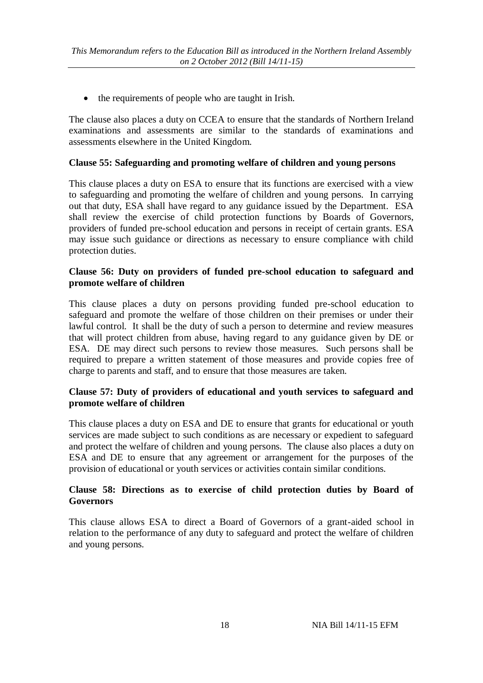• the requirements of people who are taught in Irish.

The clause also places a duty on CCEA to ensure that the standards of Northern Ireland examinations and assessments are similar to the standards of examinations and assessments elsewhere in the United Kingdom.

# **Clause 55: Safeguarding and promoting welfare of children and young persons**

This clause places a duty on ESA to ensure that its functions are exercised with a view to safeguarding and promoting the welfare of children and young persons. In carrying out that duty, ESA shall have regard to any guidance issued by the Department. ESA shall review the exercise of child protection functions by Boards of Governors, providers of funded pre-school education and persons in receipt of certain grants. ESA may issue such guidance or directions as necessary to ensure compliance with child protection duties.

## **Clause 56: Duty on providers of funded pre-school education to safeguard and promote welfare of children**

This clause places a duty on persons providing funded pre-school education to safeguard and promote the welfare of those children on their premises or under their lawful control. It shall be the duty of such a person to determine and review measures that will protect children from abuse, having regard to any guidance given by DE or ESA. DE may direct such persons to review those measures. Such persons shall be required to prepare a written statement of those measures and provide copies free of charge to parents and staff, and to ensure that those measures are taken.

# **Clause 57: Duty of providers of educational and youth services to safeguard and promote welfare of children**

This clause places a duty on ESA and DE to ensure that grants for educational or youth services are made subject to such conditions as are necessary or expedient to safeguard and protect the welfare of children and young persons. The clause also places a duty on ESA and DE to ensure that any agreement or arrangement for the purposes of the provision of educational or youth services or activities contain similar conditions.

## **Clause 58: Directions as to exercise of child protection duties by Board of Governors**

This clause allows ESA to direct a Board of Governors of a grant-aided school in relation to the performance of any duty to safeguard and protect the welfare of children and young persons.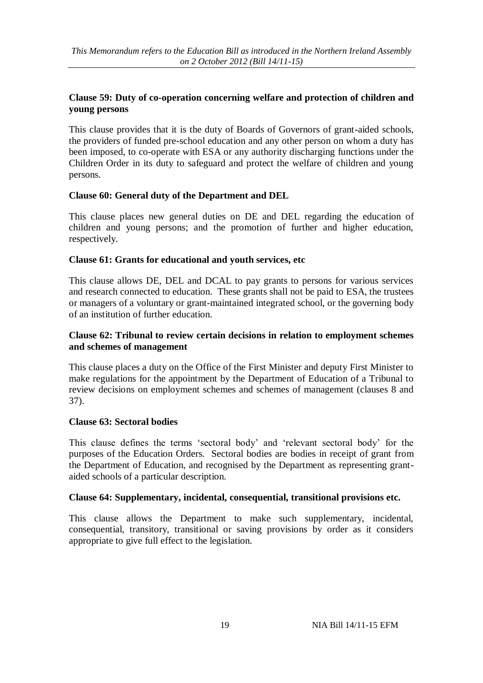# **Clause 59: Duty of co-operation concerning welfare and protection of children and young persons**

This clause provides that it is the duty of Boards of Governors of grant-aided schools, the providers of funded pre-school education and any other person on whom a duty has been imposed, to co-operate with ESA or any authority discharging functions under the Children Order in its duty to safeguard and protect the welfare of children and young persons.

# **Clause 60: General duty of the Department and DEL**

This clause places new general duties on DE and DEL regarding the education of children and young persons; and the promotion of further and higher education, respectively.

## **Clause 61: Grants for educational and youth services, etc**

This clause allows DE, DEL and DCAL to pay grants to persons for various services and research connected to education. These grants shall not be paid to ESA, the trustees or managers of a voluntary or grant-maintained integrated school, or the governing body of an institution of further education.

## **Clause 62: Tribunal to review certain decisions in relation to employment schemes and schemes of management**

This clause places a duty on the Office of the First Minister and deputy First Minister to make regulations for the appointment by the Department of Education of a Tribunal to review decisions on employment schemes and schemes of management (clauses 8 and 37).

# **Clause 63: Sectoral bodies**

This clause defines the terms 'sectoral body' and 'relevant sectoral body' for the purposes of the Education Orders. Sectoral bodies are bodies in receipt of grant from the Department of Education, and recognised by the Department as representing grantaided schools of a particular description.

#### **Clause 64: Supplementary, incidental, consequential, transitional provisions etc.**

This clause allows the Department to make such supplementary, incidental, consequential, transitory, transitional or saving provisions by order as it considers appropriate to give full effect to the legislation.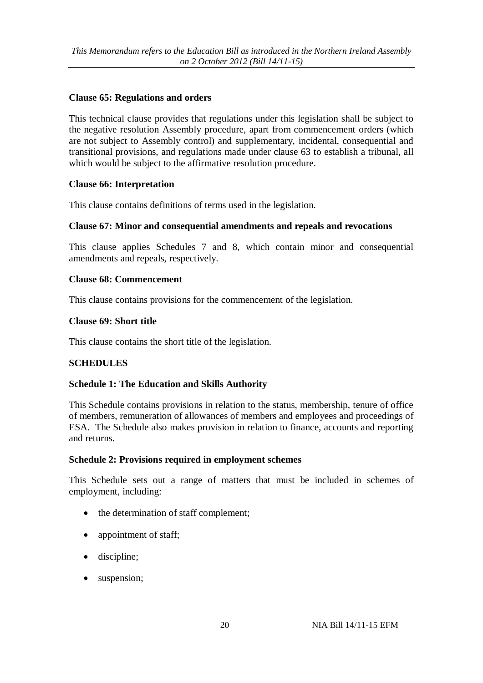# **Clause 65: Regulations and orders**

This technical clause provides that regulations under this legislation shall be subject to the negative resolution Assembly procedure, apart from commencement orders (which are not subject to Assembly control) and supplementary, incidental, consequential and transitional provisions, and regulations made under clause 63 to establish a tribunal, all which would be subject to the affirmative resolution procedure.

# **Clause 66: Interpretation**

This clause contains definitions of terms used in the legislation.

# **Clause 67: Minor and consequential amendments and repeals and revocations**

This clause applies Schedules 7 and 8, which contain minor and consequential amendments and repeals, respectively.

# **Clause 68: Commencement**

This clause contains provisions for the commencement of the legislation.

## **Clause 69: Short title**

This clause contains the short title of the legislation.

# **SCHEDULES**

# **Schedule 1: The Education and Skills Authority**

This Schedule contains provisions in relation to the status, membership, tenure of office of members, remuneration of allowances of members and employees and proceedings of ESA. The Schedule also makes provision in relation to finance, accounts and reporting and returns.

#### **Schedule 2: Provisions required in employment schemes**

This Schedule sets out a range of matters that must be included in schemes of employment, including:

- the determination of staff complement;
- appointment of staff;
- discipline:
- suspension;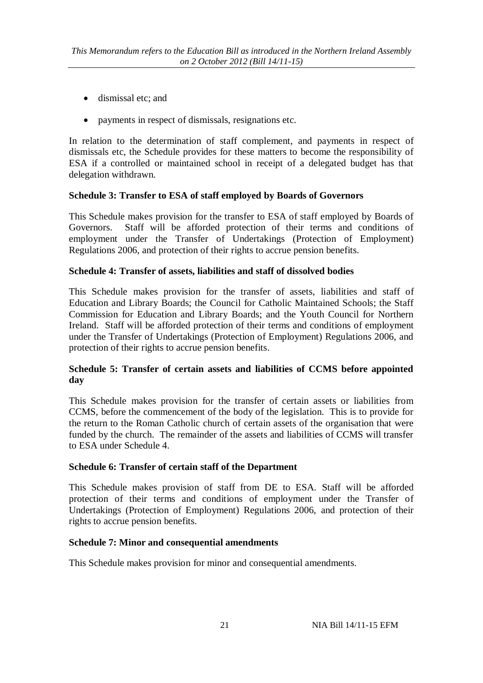- dismissal etc; and
- payments in respect of dismissals, resignations etc.

In relation to the determination of staff complement, and payments in respect of dismissals etc, the Schedule provides for these matters to become the responsibility of ESA if a controlled or maintained school in receipt of a delegated budget has that delegation withdrawn.

## **Schedule 3: Transfer to ESA of staff employed by Boards of Governors**

This Schedule makes provision for the transfer to ESA of staff employed by Boards of Governors. Staff will be afforded protection of their terms and conditions of employment under the Transfer of Undertakings (Protection of Employment) Regulations 2006, and protection of their rights to accrue pension benefits.

#### **Schedule 4: Transfer of assets, liabilities and staff of dissolved bodies**

This Schedule makes provision for the transfer of assets, liabilities and staff of Education and Library Boards; the Council for Catholic Maintained Schools; the Staff Commission for Education and Library Boards; and the Youth Council for Northern Ireland. Staff will be afforded protection of their terms and conditions of employment under the Transfer of Undertakings (Protection of Employment) Regulations 2006, and protection of their rights to accrue pension benefits.

## **Schedule 5: Transfer of certain assets and liabilities of CCMS before appointed day**

This Schedule makes provision for the transfer of certain assets or liabilities from CCMS, before the commencement of the body of the legislation. This is to provide for the return to the Roman Catholic church of certain assets of the organisation that were funded by the church. The remainder of the assets and liabilities of CCMS will transfer to ESA under Schedule 4.

#### **Schedule 6: Transfer of certain staff of the Department**

This Schedule makes provision of staff from DE to ESA. Staff will be afforded protection of their terms and conditions of employment under the Transfer of Undertakings (Protection of Employment) Regulations 2006, and protection of their rights to accrue pension benefits.

#### **Schedule 7: Minor and consequential amendments**

This Schedule makes provision for minor and consequential amendments.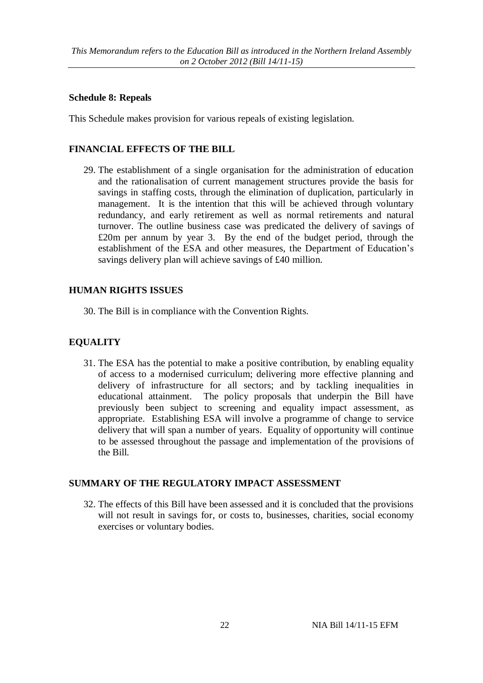#### **Schedule 8: Repeals**

This Schedule makes provision for various repeals of existing legislation.

# **FINANCIAL EFFECTS OF THE BILL**

29. The establishment of a single organisation for the administration of education and the rationalisation of current management structures provide the basis for savings in staffing costs, through the elimination of duplication, particularly in management. It is the intention that this will be achieved through voluntary redundancy, and early retirement as well as normal retirements and natural turnover. The outline business case was predicated the delivery of savings of £20m per annum by year 3. By the end of the budget period, through the establishment of the ESA and other measures, the Department of Education's savings delivery plan will achieve savings of £40 million.

## **HUMAN RIGHTS ISSUES**

30. The Bill is in compliance with the Convention Rights.

# **EQUALITY**

31. The ESA has the potential to make a positive contribution, by enabling equality of access to a modernised curriculum; delivering more effective planning and delivery of infrastructure for all sectors; and by tackling inequalities in educational attainment. The policy proposals that underpin the Bill have previously been subject to screening and equality impact assessment, as appropriate. Establishing ESA will involve a programme of change to service delivery that will span a number of years. Equality of opportunity will continue to be assessed throughout the passage and implementation of the provisions of the Bill.

# **SUMMARY OF THE REGULATORY IMPACT ASSESSMENT**

32. The effects of this Bill have been assessed and it is concluded that the provisions will not result in savings for, or costs to, businesses, charities, social economy exercises or voluntary bodies.